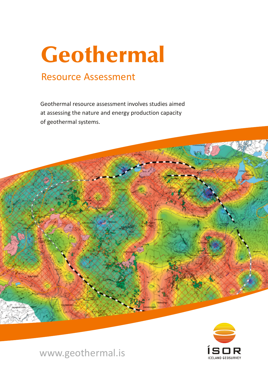# Geothermal

## Resource Assessment

Geothermal resource assessment involves studies aimed at assessing the nature and energy production capacity of geothermal systems.



www.geothermal.is